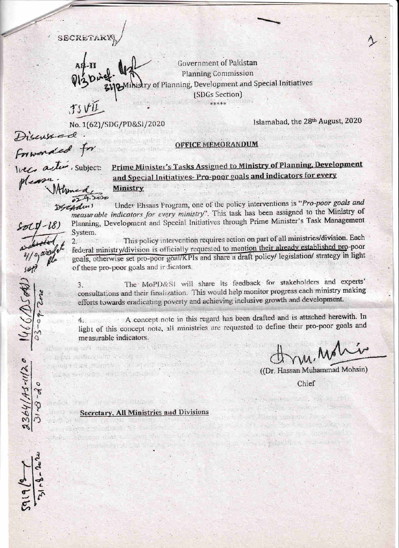**SECRETAR** 

Government of Pakistan **Planning Commission** try of Planning, Development and Special Initiatives (SDGs Section) \*\*\*\*\*

TSV

Almed

 $3364/45$ -11/20  $1466/056$ 

 $\frac{1}{2}$ 

built is the first that the

No. 1(62)/SDG/PD&S1/2020 Friwanded for<br>Ivec active Subject:<br>please: cussed

Islamabad, the 28th August, 2020

## OFFICE MEMORANDUM

Prime Minister's Tasks Assigned to Ministry of Planning, Development and Special Initiatives- Pro-poor goals and indicators for every Ministry

 $62 - 9.2020$ Under Ehsaas Frogram, one of the policy interventions is "Pro-poor goals and Desegan) measurable indicators for every ministry". This task has been assigned to the Ministry of Planning, Development and Special Initiatives through Prime Minister's Task Management System.

This policy intervention requires action on part of all ministries/division. Each  $\overline{2}$ . federal ministry/division is officially requested to mention their already established pro-poor goals, otherwise set pro-poor goal/KPIs and share a draft policy/ legislation/ strategy in light of these pro-poor goals and ir dicators.

The MoPD&SI will share its feedback for stakeholders and experts' 3. consultations and their finalization. This would help monitor progress each ministry making efforts towards eradicating poverty and achieving inclusive growth and development.

4. A concept note in this regard has been drafted and is attached herewith. In light of this concept note, all ministries are requested to define their pro-poor goals and measurable indicators.

**Let U the Test Let Up to 1** 

(Dr. Hassan Muhammad Mohsin)

Chief

sasi buotimo.

iden ser ja ha saladadina ser protecte

**19 Part of the Second Second Party of the Second Party of the Second Party of the Second Party of the Second** 

Secretary, All Ministries and Divisions

mind as wearing a storage paid

wings that include the actions.

isi mikan